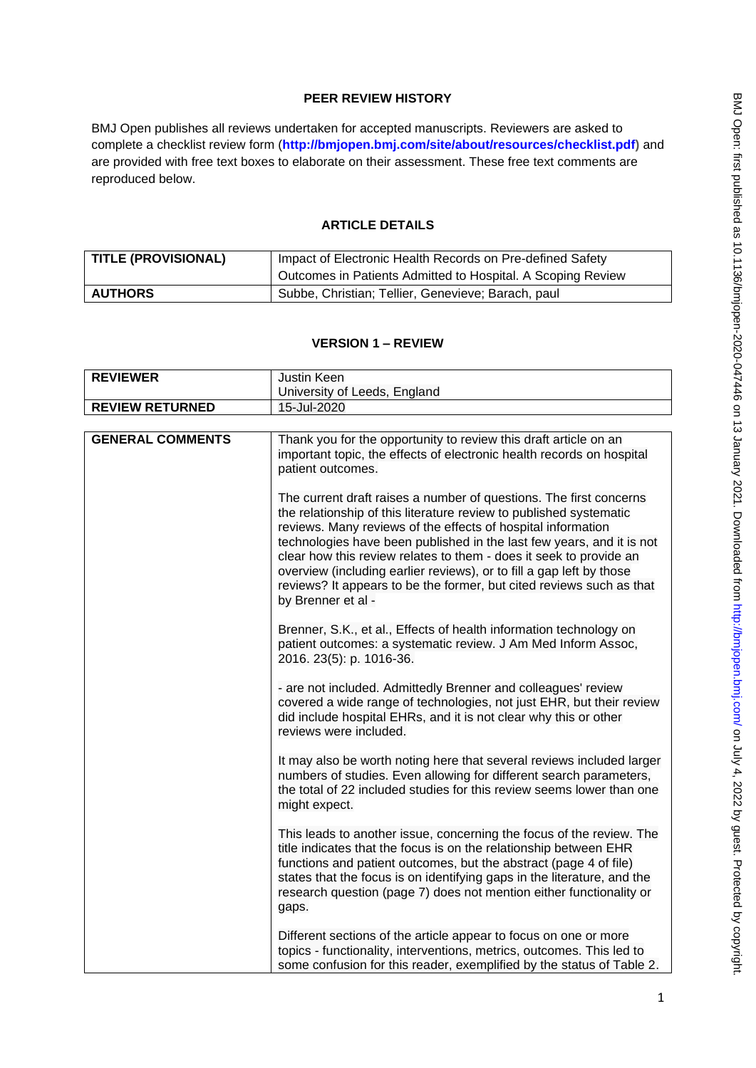# **PEER REVIEW HISTORY**

BMJ Open publishes all reviews undertaken for accepted manuscripts. Reviewers are asked to complete a checklist review form (**[http://bmjopen.bmj.com/site/about/resources/checklist.pdf\)](http://bmjopen.bmj.com/site/about/resources/checklist.pdf)** and are provided with free text boxes to elaborate on their assessment. These free text comments are reproduced below.

## **ARTICLE DETAILS**

| <b>TITLE (PROVISIONAL)</b> | Impact of Electronic Health Records on Pre-defined Safety   |
|----------------------------|-------------------------------------------------------------|
|                            | Outcomes in Patients Admitted to Hospital. A Scoping Review |
| <b>AUTHORS</b>             | Subbe, Christian; Tellier, Genevieve; Barach, paul          |

### **VERSION 1 – REVIEW**

| <b>REVIEWER</b>         | Justin Keen                                                                                                                                                                                                                                                                                                                                                                                                                                                                                                                   |
|-------------------------|-------------------------------------------------------------------------------------------------------------------------------------------------------------------------------------------------------------------------------------------------------------------------------------------------------------------------------------------------------------------------------------------------------------------------------------------------------------------------------------------------------------------------------|
|                         | University of Leeds, England                                                                                                                                                                                                                                                                                                                                                                                                                                                                                                  |
| <b>REVIEW RETURNED</b>  | 15-Jul-2020                                                                                                                                                                                                                                                                                                                                                                                                                                                                                                                   |
|                         |                                                                                                                                                                                                                                                                                                                                                                                                                                                                                                                               |
| <b>GENERAL COMMENTS</b> | Thank you for the opportunity to review this draft article on an<br>important topic, the effects of electronic health records on hospital<br>patient outcomes.                                                                                                                                                                                                                                                                                                                                                                |
|                         | The current draft raises a number of questions. The first concerns<br>the relationship of this literature review to published systematic<br>reviews. Many reviews of the effects of hospital information<br>technologies have been published in the last few years, and it is not<br>clear how this review relates to them - does it seek to provide an<br>overview (including earlier reviews), or to fill a gap left by those<br>reviews? It appears to be the former, but cited reviews such as that<br>by Brenner et al - |
|                         | Brenner, S.K., et al., Effects of health information technology on<br>patient outcomes: a systematic review. J Am Med Inform Assoc,<br>2016. 23(5): p. 1016-36.                                                                                                                                                                                                                                                                                                                                                               |
|                         | - are not included. Admittedly Brenner and colleagues' review<br>covered a wide range of technologies, not just EHR, but their review<br>did include hospital EHRs, and it is not clear why this or other<br>reviews were included.                                                                                                                                                                                                                                                                                           |
|                         | It may also be worth noting here that several reviews included larger<br>numbers of studies. Even allowing for different search parameters,<br>the total of 22 included studies for this review seems lower than one<br>might expect.                                                                                                                                                                                                                                                                                         |
|                         | This leads to another issue, concerning the focus of the review. The<br>title indicates that the focus is on the relationship between EHR<br>functions and patient outcomes, but the abstract (page 4 of file)<br>states that the focus is on identifying gaps in the literature, and the<br>research question (page 7) does not mention either functionality or<br>gaps.                                                                                                                                                     |
|                         | Different sections of the article appear to focus on one or more<br>topics - functionality, interventions, metrics, outcomes. This led to<br>some confusion for this reader, exemplified by the status of Table 2.                                                                                                                                                                                                                                                                                                            |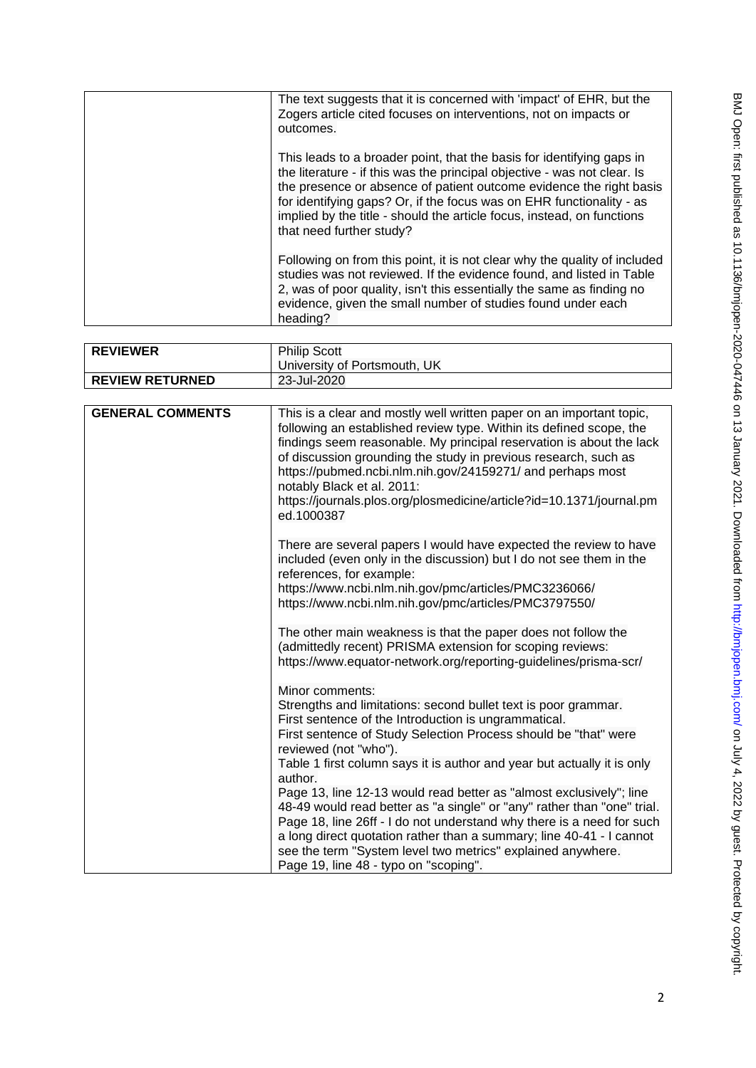| The text suggests that it is concerned with 'impact' of EHR, but the<br>Zogers article cited focuses on interventions, not on impacts or<br>outcomes.                                                                                                                                                                                                                                                  |
|--------------------------------------------------------------------------------------------------------------------------------------------------------------------------------------------------------------------------------------------------------------------------------------------------------------------------------------------------------------------------------------------------------|
| This leads to a broader point, that the basis for identifying gaps in<br>the literature - if this was the principal objective - was not clear. Is<br>the presence or absence of patient outcome evidence the right basis<br>for identifying gaps? Or, if the focus was on EHR functionality - as<br>implied by the title - should the article focus, instead, on functions<br>that need further study? |
| Following on from this point, it is not clear why the quality of included<br>studies was not reviewed. If the evidence found, and listed in Table<br>2, was of poor quality, isn't this essentially the same as finding no<br>evidence, given the small number of studies found under each<br>heading?                                                                                                 |

| <b>REVIEWER</b>        | <b>Philip Scott</b>          |
|------------------------|------------------------------|
|                        | University of Portsmouth, UK |
| <b>REVIEW RETURNED</b> | 23-Jul-2020                  |

| <b>GENERAL COMMENTS</b> | This is a clear and mostly well written paper on an important topic,<br>following an established review type. Within its defined scope, the<br>findings seem reasonable. My principal reservation is about the lack<br>of discussion grounding the study in previous research, such as<br>https://pubmed.ncbi.nlm.nih.gov/24159271/ and perhaps most<br>notably Black et al. 2011:<br>https://journals.plos.org/plosmedicine/article?id=10.1371/journal.pm<br>ed.1000387                                                                                                                                                                                                                                                               |
|-------------------------|----------------------------------------------------------------------------------------------------------------------------------------------------------------------------------------------------------------------------------------------------------------------------------------------------------------------------------------------------------------------------------------------------------------------------------------------------------------------------------------------------------------------------------------------------------------------------------------------------------------------------------------------------------------------------------------------------------------------------------------|
|                         | There are several papers I would have expected the review to have<br>included (even only in the discussion) but I do not see them in the<br>references, for example:<br>https://www.ncbi.nlm.nih.gov/pmc/articles/PMC3236066/<br>https://www.ncbi.nlm.nih.gov/pmc/articles/PMC3797550/<br>The other main weakness is that the paper does not follow the<br>(admittedly recent) PRISMA extension for scoping reviews:<br>https://www.equator-network.org/reporting-guidelines/prisma-scr/                                                                                                                                                                                                                                               |
|                         | Minor comments:<br>Strengths and limitations: second bullet text is poor grammar.<br>First sentence of the Introduction is ungrammatical.<br>First sentence of Study Selection Process should be "that" were<br>reviewed (not "who").<br>Table 1 first column says it is author and year but actually it is only<br>author.<br>Page 13, line 12-13 would read better as "almost exclusively"; line<br>48-49 would read better as "a single" or "any" rather than "one" trial.<br>Page 18, line 26ff - I do not understand why there is a need for such<br>a long direct quotation rather than a summary; line 40-41 - I cannot<br>see the term "System level two metrics" explained anywhere.<br>Page 19, line 48 - typo on "scoping". |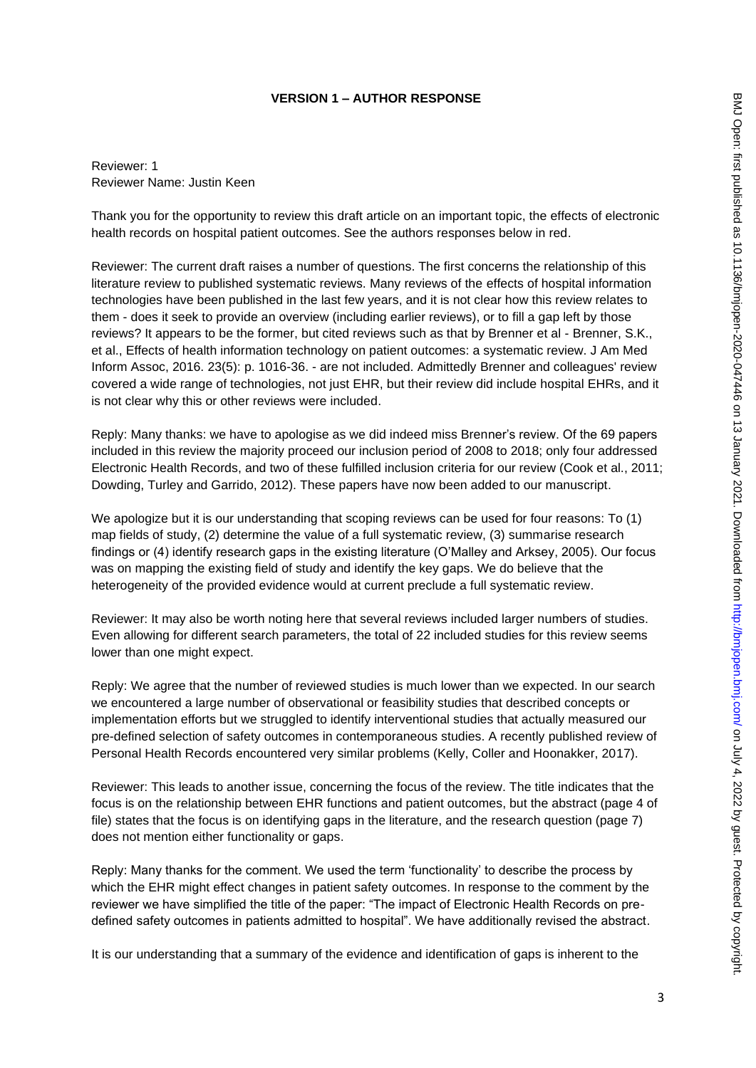## **VERSION 1 – AUTHOR RESPONSE**

Reviewer: 1 Reviewer Name: Justin Keen

Thank you for the opportunity to review this draft article on an important topic, the effects of electronic health records on hospital patient outcomes. See the authors responses below in red.

Reviewer: The current draft raises a number of questions. The first concerns the relationship of this literature review to published systematic reviews. Many reviews of the effects of hospital information technologies have been published in the last few years, and it is not clear how this review relates to them - does it seek to provide an overview (including earlier reviews), or to fill a gap left by those reviews? It appears to be the former, but cited reviews such as that by Brenner et al - Brenner, S.K., et al., Effects of health information technology on patient outcomes: a systematic review. J Am Med Inform Assoc, 2016. 23(5): p. 1016-36. - are not included. Admittedly Brenner and colleagues' review covered a wide range of technologies, not just EHR, but their review did include hospital EHRs, and it is not clear why this or other reviews were included.

Reply: Many thanks: we have to apologise as we did indeed miss Brenner's review. Of the 69 papers included in this review the majority proceed our inclusion period of 2008 to 2018; only four addressed Electronic Health Records, and two of these fulfilled inclusion criteria for our review (Cook et al., 2011; Dowding, Turley and Garrido, 2012). These papers have now been added to our manuscript.

We apologize but it is our understanding that scoping reviews can be used for four reasons: To (1) map fields of study, (2) determine the value of a full systematic review, (3) summarise research findings or (4) identify research gaps in the existing literature (O'Malley and Arksey, 2005). Our focus was on mapping the existing field of study and identify the key gaps. We do believe that the heterogeneity of the provided evidence would at current preclude a full systematic review.

Reviewer: It may also be worth noting here that several reviews included larger numbers of studies. Even allowing for different search parameters, the total of 22 included studies for this review seems lower than one might expect.

Reply: We agree that the number of reviewed studies is much lower than we expected. In our search we encountered a large number of observational or feasibility studies that described concepts or implementation efforts but we struggled to identify interventional studies that actually measured our pre-defined selection of safety outcomes in contemporaneous studies. A recently published review of Personal Health Records encountered very similar problems (Kelly, Coller and Hoonakker, 2017).

Reviewer: This leads to another issue, concerning the focus of the review. The title indicates that the focus is on the relationship between EHR functions and patient outcomes, but the abstract (page 4 of file) states that the focus is on identifying gaps in the literature, and the research question (page 7) does not mention either functionality or gaps.

Reply: Many thanks for the comment. We used the term 'functionality' to describe the process by which the EHR might effect changes in patient safety outcomes. In response to the comment by the reviewer we have simplified the title of the paper: "The impact of Electronic Health Records on predefined safety outcomes in patients admitted to hospital". We have additionally revised the abstract.

It is our understanding that a summary of the evidence and identification of gaps is inherent to the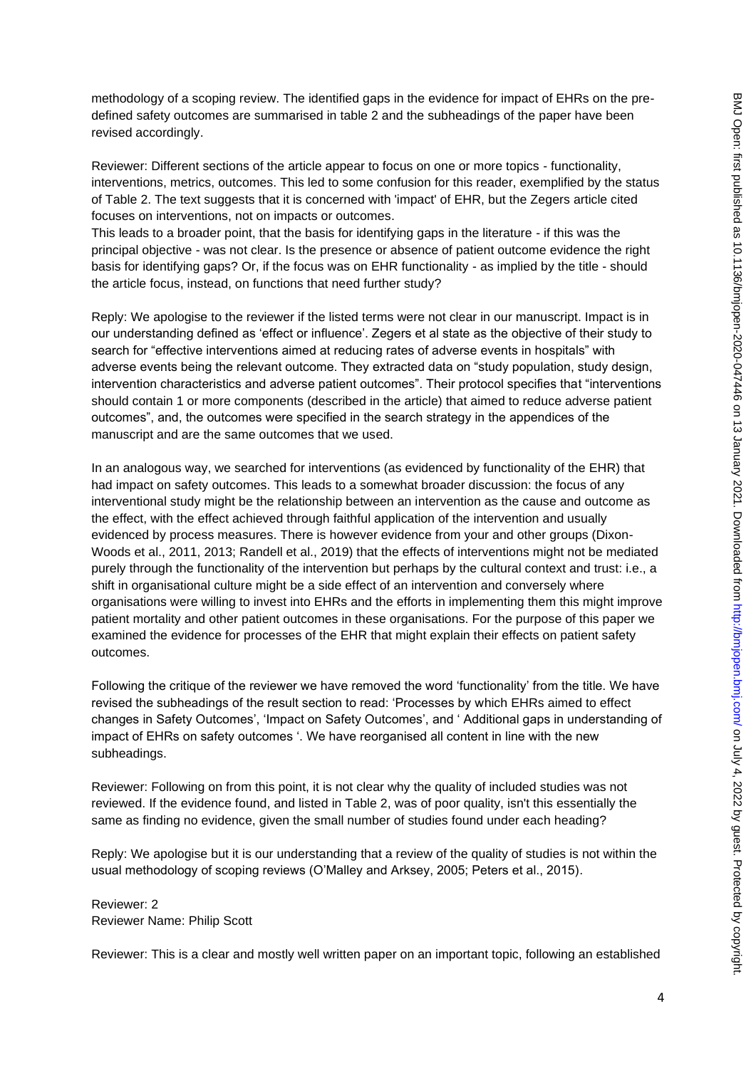methodology of a scoping review. The identified gaps in the evidence for impact of EHRs on the predefined safety outcomes are summarised in table 2 and the subheadings of the paper have been revised accordingly.

Reviewer: Different sections of the article appear to focus on one or more topics - functionality, interventions, metrics, outcomes. This led to some confusion for this reader, exemplified by the status of Table 2. The text suggests that it is concerned with 'impact' of EHR, but the Zegers article cited focuses on interventions, not on impacts or outcomes.

This leads to a broader point, that the basis for identifying gaps in the literature - if this was the principal objective - was not clear. Is the presence or absence of patient outcome evidence the right basis for identifying gaps? Or, if the focus was on EHR functionality - as implied by the title - should the article focus, instead, on functions that need further study?

Reply: We apologise to the reviewer if the listed terms were not clear in our manuscript. Impact is in our understanding defined as 'effect or influence'. Zegers et al state as the objective of their study to search for "effective interventions aimed at reducing rates of adverse events in hospitals" with adverse events being the relevant outcome. They extracted data on "study population, study design, intervention characteristics and adverse patient outcomes". Their protocol specifies that "interventions should contain 1 or more components (described in the article) that aimed to reduce adverse patient outcomes", and, the outcomes were specified in the search strategy in the appendices of the manuscript and are the same outcomes that we used.

In an analogous way, we searched for interventions (as evidenced by functionality of the EHR) that had impact on safety outcomes. This leads to a somewhat broader discussion: the focus of any interventional study might be the relationship between an intervention as the cause and outcome as the effect, with the effect achieved through faithful application of the intervention and usually evidenced by process measures. There is however evidence from your and other groups (Dixon-Woods et al., 2011, 2013; Randell et al., 2019) that the effects of interventions might not be mediated purely through the functionality of the intervention but perhaps by the cultural context and trust: i.e., a shift in organisational culture might be a side effect of an intervention and conversely where organisations were willing to invest into EHRs and the efforts in implementing them this might improve patient mortality and other patient outcomes in these organisations. For the purpose of this paper we examined the evidence for processes of the EHR that might explain their effects on patient safety outcomes.

Following the critique of the reviewer we have removed the word 'functionality' from the title. We have revised the subheadings of the result section to read: 'Processes by which EHRs aimed to effect changes in Safety Outcomes', 'Impact on Safety Outcomes', and ' Additional gaps in understanding of impact of EHRs on safety outcomes '. We have reorganised all content in line with the new subheadings.

Reviewer: Following on from this point, it is not clear why the quality of included studies was not reviewed. If the evidence found, and listed in Table 2, was of poor quality, isn't this essentially the same as finding no evidence, given the small number of studies found under each heading?

Reply: We apologise but it is our understanding that a review of the quality of studies is not within the usual methodology of scoping reviews (O'Malley and Arksey, 2005; Peters et al., 2015).

Reviewer: 2 Reviewer Name: Philip Scott

Reviewer: This is a clear and mostly well written paper on an important topic, following an established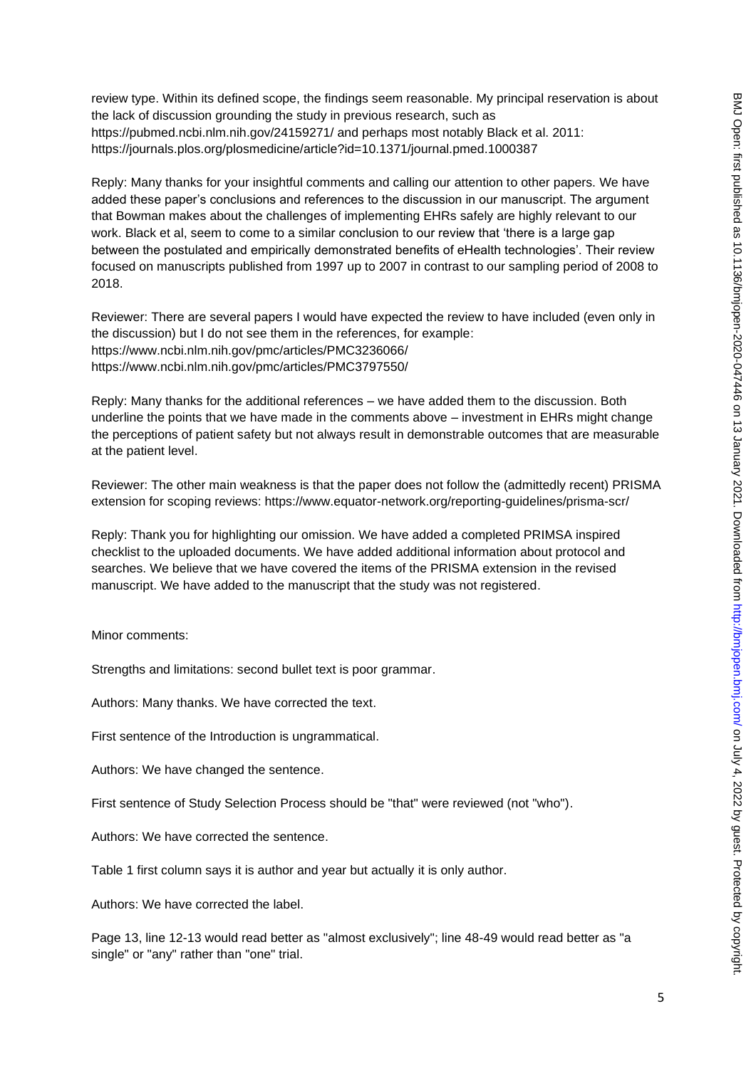review type. Within its defined scope, the findings seem reasonable. My principal reservation is about the lack of discussion grounding the study in previous research, such as https://pubmed.ncbi.nlm.nih.gov/24159271/ and perhaps most notably Black et al. 2011: https://journals.plos.org/plosmedicine/article?id=10.1371/journal.pmed.1000387

Reply: Many thanks for your insightful comments and calling our attention to other papers. We have added these paper's conclusions and references to the discussion in our manuscript. The argument that Bowman makes about the challenges of implementing EHRs safely are highly relevant to our work. Black et al, seem to come to a similar conclusion to our review that 'there is a large gap between the postulated and empirically demonstrated benefits of eHealth technologies'. Their review focused on manuscripts published from 1997 up to 2007 in contrast to our sampling period of 2008 to 2018.

Reviewer: There are several papers I would have expected the review to have included (even only in the discussion) but I do not see them in the references, for example: https://www.ncbi.nlm.nih.gov/pmc/articles/PMC3236066/ https://www.ncbi.nlm.nih.gov/pmc/articles/PMC3797550/

Reply: Many thanks for the additional references – we have added them to the discussion. Both underline the points that we have made in the comments above – investment in EHRs might change the perceptions of patient safety but not always result in demonstrable outcomes that are measurable at the patient level.

Reviewer: The other main weakness is that the paper does not follow the (admittedly recent) PRISMA extension for scoping reviews: https://www.equator-network.org/reporting-guidelines/prisma-scr/

Reply: Thank you for highlighting our omission. We have added a completed PRIMSA inspired checklist to the uploaded documents. We have added additional information about protocol and searches. We believe that we have covered the items of the PRISMA extension in the revised manuscript. We have added to the manuscript that the study was not registered.

Minor comments:

Strengths and limitations: second bullet text is poor grammar.

Authors: Many thanks. We have corrected the text.

First sentence of the Introduction is ungrammatical.

Authors: We have changed the sentence.

First sentence of Study Selection Process should be "that" were reviewed (not "who").

Authors: We have corrected the sentence.

Table 1 first column says it is author and year but actually it is only author.

Authors: We have corrected the label.

Page 13, line 12-13 would read better as "almost exclusively"; line 48-49 would read better as "a single" or "any" rather than "one" trial.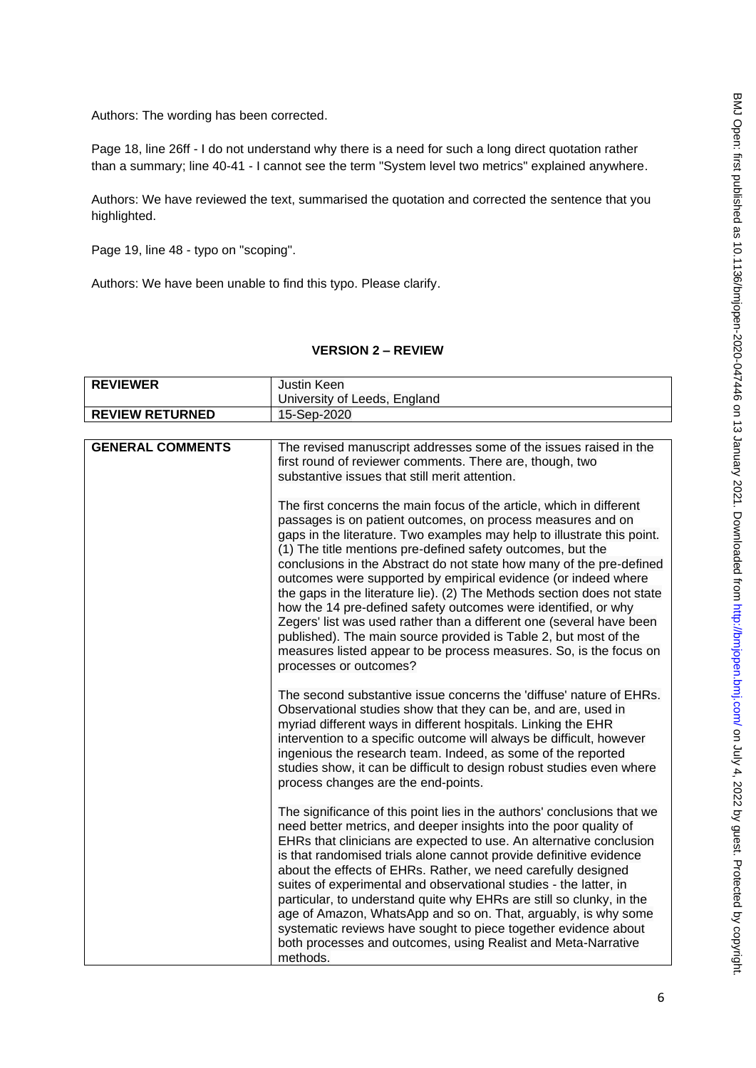Authors: The wording has been corrected.

Page 18, line 26ff - I do not understand why there is a need for such a long direct quotation rather than a summary; line 40-41 - I cannot see the term "System level two metrics" explained anywhere.

Authors: We have reviewed the text, summarised the quotation and corrected the sentence that you highlighted.

Page 19, line 48 - typo on "scoping".

Authors: We have been unable to find this typo. Please clarify.

#### **VERSION 2 – REVIEW**

| <b>REVIEWER</b>        | Justin Keen                  |
|------------------------|------------------------------|
|                        | University of Leeds, England |
| <b>REVIEW RETURNED</b> | 15-Sep-2020                  |

| <b>GENERAL COMMENTS</b> | The revised manuscript addresses some of the issues raised in the<br>first round of reviewer comments. There are, though, two<br>substantive issues that still merit attention.<br>The first concerns the main focus of the article, which in different<br>passages is on patient outcomes, on process measures and on<br>gaps in the literature. Two examples may help to illustrate this point.<br>(1) The title mentions pre-defined safety outcomes, but the<br>conclusions in the Abstract do not state how many of the pre-defined<br>outcomes were supported by empirical evidence (or indeed where<br>the gaps in the literature lie). (2) The Methods section does not state<br>how the 14 pre-defined safety outcomes were identified, or why<br>Zegers' list was used rather than a different one (several have been<br>published). The main source provided is Table 2, but most of the<br>measures listed appear to be process measures. So, is the focus on<br>processes or outcomes? |
|-------------------------|-----------------------------------------------------------------------------------------------------------------------------------------------------------------------------------------------------------------------------------------------------------------------------------------------------------------------------------------------------------------------------------------------------------------------------------------------------------------------------------------------------------------------------------------------------------------------------------------------------------------------------------------------------------------------------------------------------------------------------------------------------------------------------------------------------------------------------------------------------------------------------------------------------------------------------------------------------------------------------------------------------|
|                         | The second substantive issue concerns the 'diffuse' nature of EHRs.<br>Observational studies show that they can be, and are, used in<br>myriad different ways in different hospitals. Linking the EHR<br>intervention to a specific outcome will always be difficult, however<br>ingenious the research team. Indeed, as some of the reported<br>studies show, it can be difficult to design robust studies even where<br>process changes are the end-points.                                                                                                                                                                                                                                                                                                                                                                                                                                                                                                                                       |
|                         | The significance of this point lies in the authors' conclusions that we<br>need better metrics, and deeper insights into the poor quality of<br>EHRs that clinicians are expected to use. An alternative conclusion<br>is that randomised trials alone cannot provide definitive evidence<br>about the effects of EHRs. Rather, we need carefully designed<br>suites of experimental and observational studies - the latter, in<br>particular, to understand quite why EHRs are still so clunky, in the<br>age of Amazon, WhatsApp and so on. That, arguably, is why some<br>systematic reviews have sought to piece together evidence about<br>both processes and outcomes, using Realist and Meta-Narrative<br>methods.                                                                                                                                                                                                                                                                           |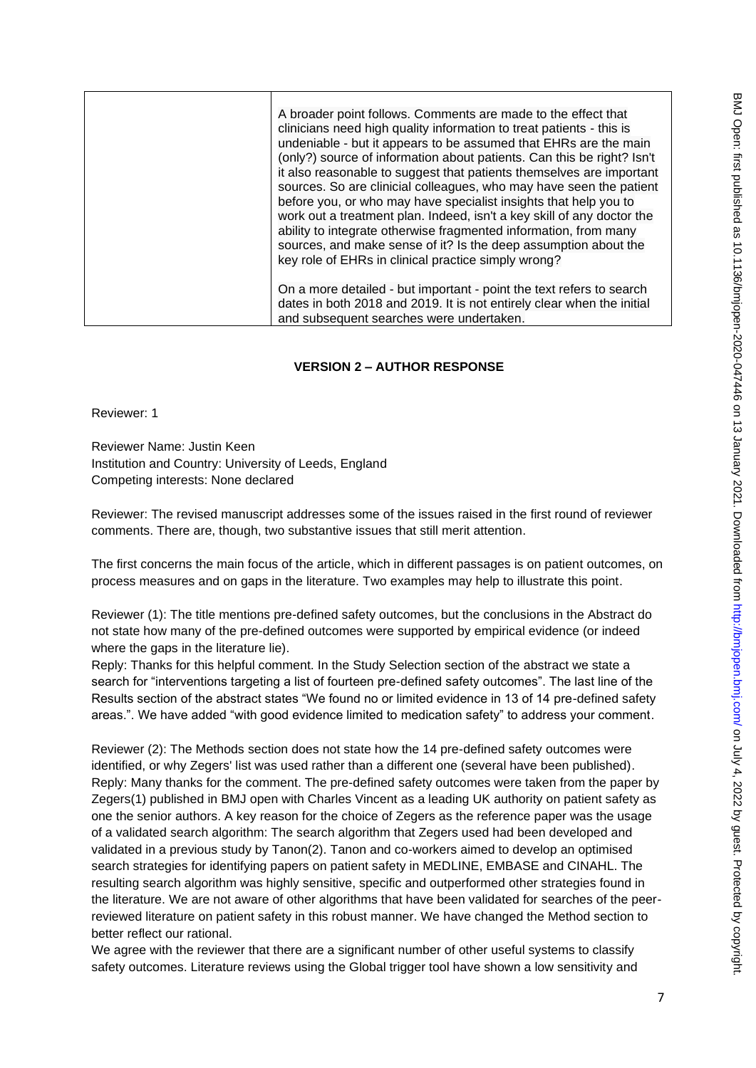| A broader point follows. Comments are made to the effect that<br>clinicians need high quality information to treat patients - this is<br>undeniable - but it appears to be assumed that EHRs are the main<br>(only?) source of information about patients. Can this be right? Isn't<br>it also reasonable to suggest that patients themselves are important<br>sources. So are clinicial colleagues, who may have seen the patient<br>before you, or who may have specialist insights that help you to<br>work out a treatment plan. Indeed, isn't a key skill of any doctor the<br>ability to integrate otherwise fragmented information, from many<br>sources, and make sense of it? Is the deep assumption about the<br>key role of EHRs in clinical practice simply wrong? |
|--------------------------------------------------------------------------------------------------------------------------------------------------------------------------------------------------------------------------------------------------------------------------------------------------------------------------------------------------------------------------------------------------------------------------------------------------------------------------------------------------------------------------------------------------------------------------------------------------------------------------------------------------------------------------------------------------------------------------------------------------------------------------------|
| On a more detailed - but important - point the text refers to search<br>dates in both 2018 and 2019. It is not entirely clear when the initial<br>and subsequent searches were undertaken.                                                                                                                                                                                                                                                                                                                                                                                                                                                                                                                                                                                     |

#### **VERSION 2 – AUTHOR RESPONSE**

Reviewer: 1

Reviewer Name: Justin Keen Institution and Country: University of Leeds, England Competing interests: None declared

Reviewer: The revised manuscript addresses some of the issues raised in the first round of reviewer comments. There are, though, two substantive issues that still merit attention.

The first concerns the main focus of the article, which in different passages is on patient outcomes, on process measures and on gaps in the literature. Two examples may help to illustrate this point.

Reviewer (1): The title mentions pre-defined safety outcomes, but the conclusions in the Abstract do not state how many of the pre-defined outcomes were supported by empirical evidence (or indeed where the gaps in the literature lie).

Reply: Thanks for this helpful comment. In the Study Selection section of the abstract we state a search for "interventions targeting a list of fourteen pre-defined safety outcomes". The last line of the Results section of the abstract states "We found no or limited evidence in 13 of 14 pre-defined safety areas.". We have added "with good evidence limited to medication safety" to address your comment.

Reviewer (2): The Methods section does not state how the 14 pre-defined safety outcomes were identified, or why Zegers' list was used rather than a different one (several have been published). Reply: Many thanks for the comment. The pre-defined safety outcomes were taken from the paper by Zegers(1) published in BMJ open with Charles Vincent as a leading UK authority on patient safety as one the senior authors. A key reason for the choice of Zegers as the reference paper was the usage of a validated search algorithm: The search algorithm that Zegers used had been developed and validated in a previous study by Tanon(2). Tanon and co-workers aimed to develop an optimised search strategies for identifying papers on patient safety in MEDLINE, EMBASE and CINAHL. The resulting search algorithm was highly sensitive, specific and outperformed other strategies found in the literature. We are not aware of other algorithms that have been validated for searches of the peerreviewed literature on patient safety in this robust manner. We have changed the Method section to better reflect our rational.

We agree with the reviewer that there are a significant number of other useful systems to classify safety outcomes. Literature reviews using the Global trigger tool have shown a low sensitivity and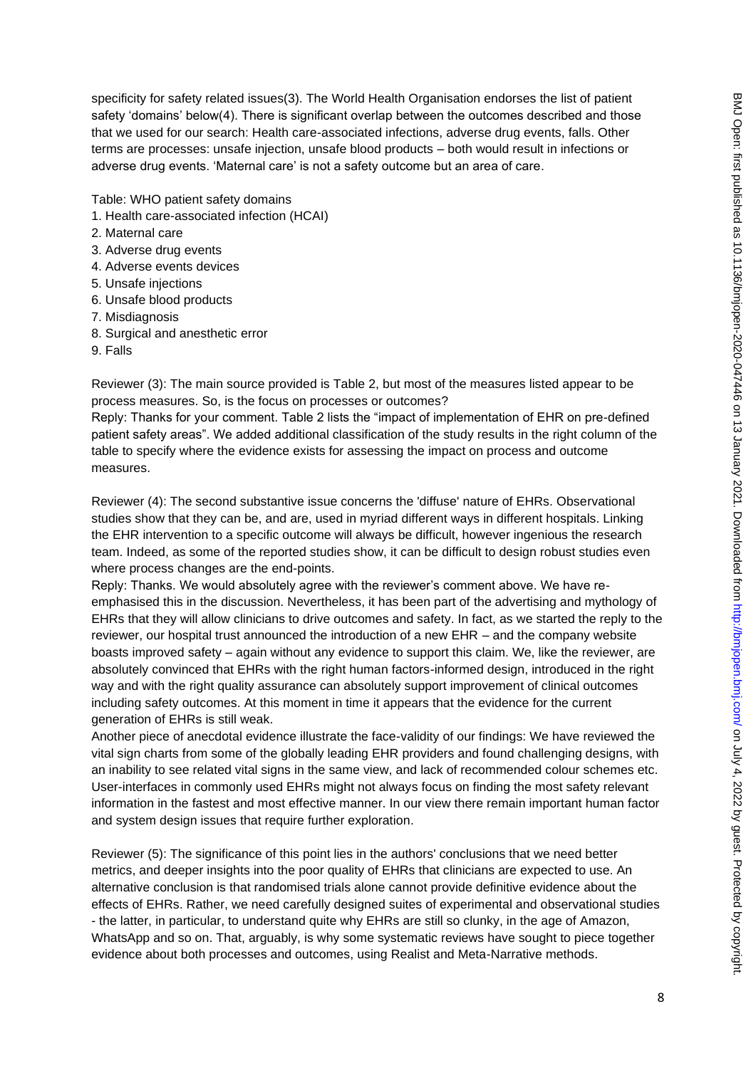specificity for safety related issues(3). The World Health Organisation endorses the list of patient safety 'domains' below(4). There is significant overlap between the outcomes described and those that we used for our search: Health care-associated infections, adverse drug events, falls. Other terms are processes: unsafe injection, unsafe blood products – both would result in infections or adverse drug events. 'Maternal care' is not a safety outcome but an area of care.

Table: WHO patient safety domains

- 1. Health care-associated infection (HCAI)
- 2. Maternal care
- 3. Adverse drug events
- 4. Adverse events devices
- 5. Unsafe injections
- 6. Unsafe blood products
- 7. Misdiagnosis
- 8. Surgical and anesthetic error
- 9. Falls

Reviewer (3): The main source provided is Table 2, but most of the measures listed appear to be process measures. So, is the focus on processes or outcomes?

Reply: Thanks for your comment. Table 2 lists the "impact of implementation of EHR on pre-defined patient safety areas". We added additional classification of the study results in the right column of the table to specify where the evidence exists for assessing the impact on process and outcome measures.

Reviewer (4): The second substantive issue concerns the 'diffuse' nature of EHRs. Observational studies show that they can be, and are, used in myriad different ways in different hospitals. Linking the EHR intervention to a specific outcome will always be difficult, however ingenious the research team. Indeed, as some of the reported studies show, it can be difficult to design robust studies even where process changes are the end-points.

Reply: Thanks. We would absolutely agree with the reviewer's comment above. We have reemphasised this in the discussion. Nevertheless, it has been part of the advertising and mythology of EHRs that they will allow clinicians to drive outcomes and safety. In fact, as we started the reply to the reviewer, our hospital trust announced the introduction of a new EHR – and the company website boasts improved safety – again without any evidence to support this claim. We, like the reviewer, are absolutely convinced that EHRs with the right human factors-informed design, introduced in the right way and with the right quality assurance can absolutely support improvement of clinical outcomes including safety outcomes. At this moment in time it appears that the evidence for the current generation of EHRs is still weak.

Another piece of anecdotal evidence illustrate the face-validity of our findings: We have reviewed the vital sign charts from some of the globally leading EHR providers and found challenging designs, with an inability to see related vital signs in the same view, and lack of recommended colour schemes etc. User-interfaces in commonly used EHRs might not always focus on finding the most safety relevant information in the fastest and most effective manner. In our view there remain important human factor and system design issues that require further exploration.

Reviewer (5): The significance of this point lies in the authors' conclusions that we need better metrics, and deeper insights into the poor quality of EHRs that clinicians are expected to use. An alternative conclusion is that randomised trials alone cannot provide definitive evidence about the effects of EHRs. Rather, we need carefully designed suites of experimental and observational studies - the latter, in particular, to understand quite why EHRs are still so clunky, in the age of Amazon, WhatsApp and so on. That, arguably, is why some systematic reviews have sought to piece together evidence about both processes and outcomes, using Realist and Meta-Narrative methods.